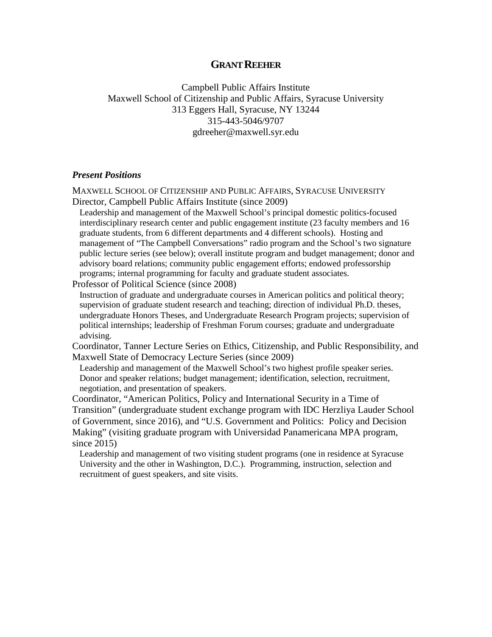# **GRANT REEHER**

Campbell Public Affairs Institute Maxwell School of Citizenship and Public Affairs, Syracuse University 313 Eggers Hall, Syracuse, NY 13244 315-443-5046/9707 gdreeher@maxwell.syr.edu

## *Present Positions*

MAXWELL SCHOOL OF CITIZENSHIP AND PUBLIC AFFAIRS, SYRACUSE UNIVERSITY Director, Campbell Public Affairs Institute (since 2009)

Leadership and management of the Maxwell School's principal domestic politics-focused interdisciplinary research center and public engagement institute (23 faculty members and 16 graduate students, from 6 different departments and 4 different schools). Hosting and management of "The Campbell Conversations" radio program and the School's two signature public lecture series (see below); overall institute program and budget management; donor and advisory board relations; community public engagement efforts; endowed professorship programs; internal programming for faculty and graduate student associates.

Professor of Political Science (since 2008)

Instruction of graduate and undergraduate courses in American politics and political theory; supervision of graduate student research and teaching; direction of individual Ph.D. theses, undergraduate Honors Theses, and Undergraduate Research Program projects; supervision of political internships; leadership of Freshman Forum courses; graduate and undergraduate advising.

Coordinator, Tanner Lecture Series on Ethics, Citizenship, and Public Responsibility, and Maxwell State of Democracy Lecture Series (since 2009)

Leadership and management of the Maxwell School's two highest profile speaker series. Donor and speaker relations; budget management; identification, selection, recruitment, negotiation, and presentation of speakers.

Coordinator, "American Politics, Policy and International Security in a Time of Transition" (undergraduate student exchange program with IDC Herzliya Lauder School of Government, since 2016), and "U.S. Government and Politics: Policy and Decision Making" (visiting graduate program with Universidad Panamericana MPA program, since 2015)

Leadership and management of two visiting student programs (one in residence at Syracuse University and the other in Washington, D.C.). Programming, instruction, selection and recruitment of guest speakers, and site visits.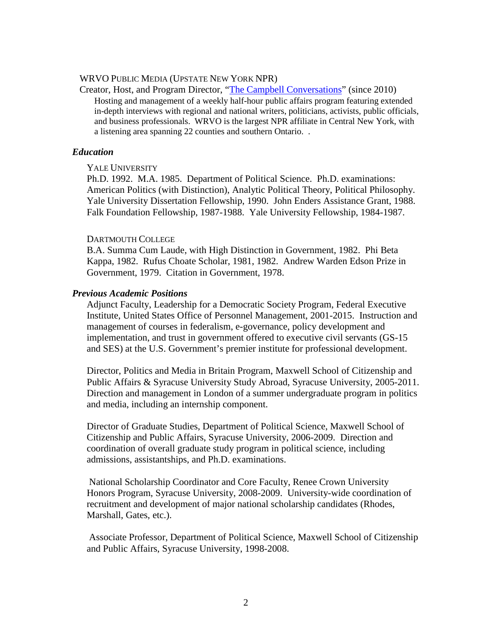## WRVO PUBLIC MEDIA (UPSTATE NEW YORK NPR)

Creator, Host, and Program Director, "The Campbell [Conversations"](http://wrvo.org/programs/campbell-conversations) (since 2010) Hosting and management of a weekly half-hour public affairs program featuring extended in-depth interviews with regional and national writers, politicians, activists, public officials, and business professionals. WRVO is the largest NPR affiliate in Central New York, with a listening area spanning 22 counties and southern Ontario. .

## *Education*

## YALE UNIVERSITY

Ph.D. 1992. M.A. 1985. Department of Political Science. Ph.D. examinations: American Politics (with Distinction), Analytic Political Theory, Political Philosophy. Yale University Dissertation Fellowship, 1990. John Enders Assistance Grant, 1988. Falk Foundation Fellowship, 1987-1988. Yale University Fellowship, 1984-1987.

## DARTMOUTH COLLEGE

B.A. Summa Cum Laude, with High Distinction in Government, 1982. Phi Beta Kappa, 1982. Rufus Choate Scholar, 1981, 1982. Andrew Warden Edson Prize in Government, 1979. Citation in Government, 1978.

## *Previous Academic Positions*

Adjunct Faculty, Leadership for a Democratic Society Program, Federal Executive Institute, United States Office of Personnel Management, 2001-2015. Instruction and management of courses in federalism, e-governance, policy development and implementation, and trust in government offered to executive civil servants (GS-15 and SES) at the U.S. Government's premier institute for professional development.

Director, Politics and Media in Britain Program, Maxwell School of Citizenship and Public Affairs & Syracuse University Study Abroad, Syracuse University, 2005-2011. Direction and management in London of a summer undergraduate program in politics and media, including an internship component.

Director of Graduate Studies, Department of Political Science, Maxwell School of Citizenship and Public Affairs, Syracuse University, 2006-2009. Direction and coordination of overall graduate study program in political science, including admissions, assistantships, and Ph.D. examinations.

National Scholarship Coordinator and Core Faculty, Renee Crown University Honors Program, Syracuse University, 2008-2009. University-wide coordination of recruitment and development of major national scholarship candidates (Rhodes, Marshall, Gates, etc.).

Associate Professor, Department of Political Science, Maxwell School of Citizenship and Public Affairs, Syracuse University, 1998-2008.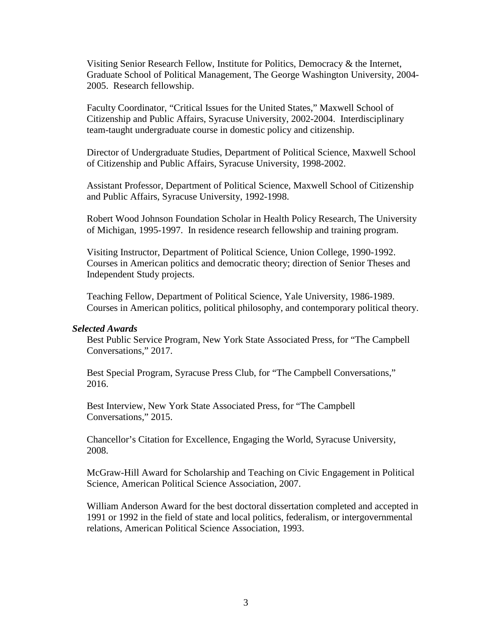Visiting Senior Research Fellow, Institute for Politics, Democracy & the Internet, Graduate School of Political Management, The George Washington University, 2004- 2005. Research fellowship.

Faculty Coordinator, "Critical Issues for the United States," Maxwell School of Citizenship and Public Affairs, Syracuse University, 2002-2004. Interdisciplinary team-taught undergraduate course in domestic policy and citizenship.

Director of Undergraduate Studies, Department of Political Science, Maxwell School of Citizenship and Public Affairs, Syracuse University, 1998-2002.

Assistant Professor, Department of Political Science, Maxwell School of Citizenship and Public Affairs, Syracuse University, 1992-1998.

Robert Wood Johnson Foundation Scholar in Health Policy Research, The University of Michigan, 1995-1997. In residence research fellowship and training program.

Visiting Instructor, Department of Political Science, Union College, 1990-1992. Courses in American politics and democratic theory; direction of Senior Theses and Independent Study projects.

Teaching Fellow, Department of Political Science, Yale University, 1986-1989. Courses in American politics, political philosophy, and contemporary political theory.

## *Selected Awards*

Best Public Service Program, New York State Associated Press, for "The Campbell Conversations," 2017.

Best Special Program, Syracuse Press Club, for "The Campbell Conversations," 2016.

Best Interview, New York State Associated Press, for "The Campbell Conversations," 2015.

Chancellor's Citation for Excellence, Engaging the World, Syracuse University, 2008.

McGraw-Hill Award for Scholarship and Teaching on Civic Engagement in Political Science, American Political Science Association, 2007.

William Anderson Award for the best doctoral dissertation completed and accepted in 1991 or 1992 in the field of state and local politics, federalism, or intergovernmental relations, American Political Science Association, 1993.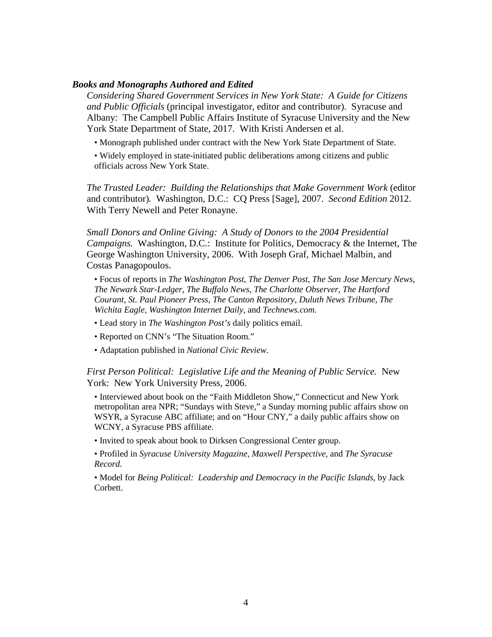## *Books and Monographs Authored and Edited*

*Considering Shared Government Services in New York State: A Guide for Citizens and Public Officials* (principal investigator, editor and contributor). Syracuse and Albany: The Campbell Public Affairs Institute of Syracuse University and the New York State Department of State, 2017. With Kristi Andersen et al.

- Monograph published under contract with the New York State Department of State.
- Widely employed in state-initiated public deliberations among citizens and public officials across New York State.

*The Trusted Leader: Building the Relationships that Make Government Work* (editor and contributor)*.* Washington, D.C.: CQ Press [Sage], 2007. *Second Edition* 2012. With Terry Newell and Peter Ronayne.

*Small Donors and Online Giving: A Study of Donors to the 2004 Presidential Campaigns.* Washington, D.C.: Institute for Politics, Democracy & the Internet, The George Washington University, 2006. With Joseph Graf, Michael Malbin, and Costas Panagopoulos.

• Focus of reports in *The Washington Post*, *The Denver Post*, *The San Jose Mercury News*, *The Newark Star-Ledger*, *The Buffalo News*, *The Charlotte Observer*, *The Hartford Courant*, *St. Paul Pioneer Press*, *The Canton Repository*, *Duluth News Tribune*, *The Wichita Eagle*, *Washington Internet Daily*, and *Technews.com*.

- Lead story in *The Washington Post's* daily politics email.
- Reported on CNN's "The Situation Room."
- Adaptation published in *National Civic Review*.

*First Person Political: Legislative Life and the Meaning of Public Service.* New York: New York University Press, 2006.

• Interviewed about book on the "Faith Middleton Show," Connecticut and New York metropolitan area NPR; "Sundays with Steve," a Sunday morning public affairs show on WSYR, a Syracuse ABC affiliate; and on "Hour CNY," a daily public affairs show on WCNY, a Syracuse PBS affiliate.

• Invited to speak about book to Dirksen Congressional Center group.

• Profiled in *Syracuse University Magazine*, *Maxwell Perspective*, and *The Syracuse Record*.

• Model for *Being Political: Leadership and Democracy in the Pacific Islands*, by Jack Corbett.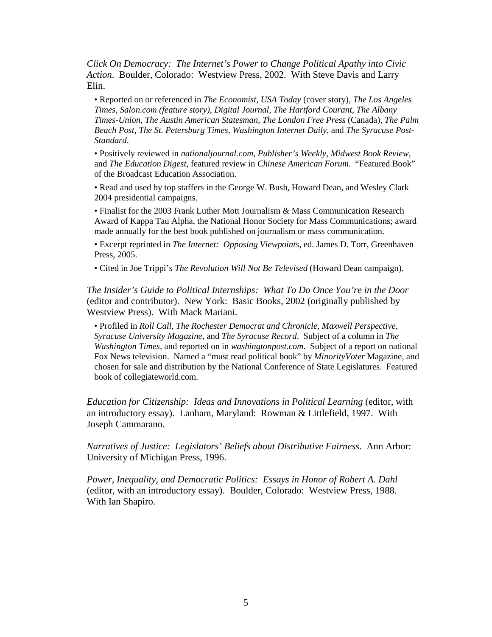*Click On Democracy: The Internet's Power to Change Political Apathy into Civic Action*. Boulder, Colorado: Westview Press, 2002. With Steve Davis and Larry Elin.

• Reported on or referenced in *The Economist*, *USA Today* (cover story), *The Los Angeles Times*, *Salon.com (feature story), Digital Journal*, *The Hartford Courant, The Albany Times-Union, The Austin American Statesman, The London Free Press* (Canada), *The Palm Beach Post, The St. Petersburg Times, Washington Internet Daily*, and *The Syracuse Post-Standard*.

• Positively reviewed in *nationaljournal.com*, *Publisher's Weekly, Midwest Book Review,*  and *The Education Digest*, featured review in *Chinese American Forum*. "Featured Book" of the Broadcast Education Association.

• Read and used by top staffers in the George W. Bush, Howard Dean, and Wesley Clark 2004 presidential campaigns.

• Finalist for the 2003 Frank Luther Mott Journalism & Mass Communication Research Award of Kappa Tau Alpha, the National Honor Society for Mass Communications; award made annually for the best book published on journalism or mass communication.

• Excerpt reprinted in *The Internet: Opposing Viewpoints*, ed. James D. Torr, Greenhaven Press, 2005.

• Cited in Joe Trippi's *The Revolution Will Not Be Televised* (Howard Dean campaign).

*The Insider's Guide to Political Internships: What To Do Once You're in the Door* (editor and contributor). New York: Basic Books, 2002 (originally published by Westview Press). With Mack Mariani.

• Profiled in *Roll Call*, *The Rochester Democrat and Chronicle, Maxwell Perspective, Syracuse University Magazine,* and *The Syracuse Record*. Subject of a column in *The Washington Times,* and reported on in *washingtonpost.com*. Subject of a report on national Fox News television. Named a "must read political book" by *MinorityVoter* Magazine, and chosen for sale and distribution by the National Conference of State Legislatures. Featured book of collegiateworld.com.

*Education for Citizenship: Ideas and Innovations in Political Learning (editor, with* an introductory essay). Lanham, Maryland: Rowman & Littlefield, 1997. With Joseph Cammarano.

*Narratives of Justice: Legislators' Beliefs about Distributive Fairness*. Ann Arbor: University of Michigan Press, 1996.

*Power, Inequality, and Democratic Politics: Essays in Honor of Robert A. Dahl* (editor, with an introductory essay). Boulder, Colorado: Westview Press, 1988. With Ian Shapiro.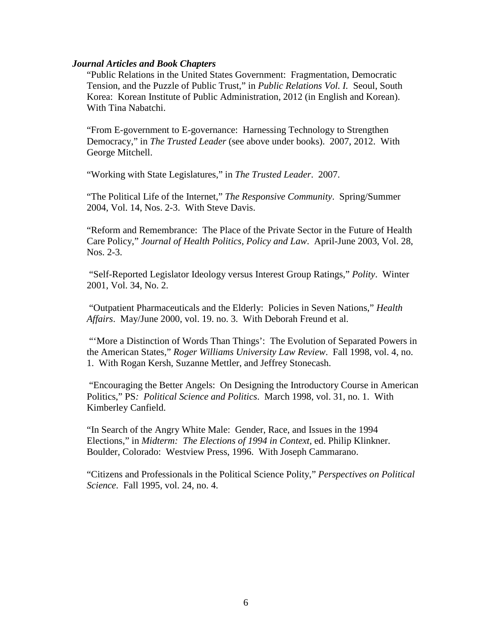## *Journal Articles and Book Chapters*

"Public Relations in the United States Government: Fragmentation, Democratic Tension, and the Puzzle of Public Trust," in *Public Relations Vol. I.* Seoul, South Korea: Korean Institute of Public Administration, 2012 (in English and Korean). With Tina Nabatchi.

"From E-government to E-governance: Harnessing Technology to Strengthen Democracy," in *The Trusted Leader* (see above under books). 2007, 2012. With George Mitchell.

"Working with State Legislatures," in *The Trusted Leader*. 2007.

"The Political Life of the Internet," *The Responsive Community*. Spring/Summer 2004, Vol. 14, Nos. 2-3. With Steve Davis.

"Reform and Remembrance: The Place of the Private Sector in the Future of Health Care Policy," *Journal of Health Politics, Policy and Law*. April-June 2003, Vol. 28, Nos. 2-3.

"Self-Reported Legislator Ideology versus Interest Group Ratings," *Polity*. Winter 2001, Vol. 34, No. 2.

"Outpatient Pharmaceuticals and the Elderly: Policies in Seven Nations," *Health Affairs*. May/June 2000, vol. 19. no. 3. With Deborah Freund et al.

"'More a Distinction of Words Than Things': The Evolution of Separated Powers in the American States," *Roger Williams University Law Review*. Fall 1998, vol. 4, no. 1. With Rogan Kersh, Suzanne Mettler, and Jeffrey Stonecash.

"Encouraging the Better Angels: On Designing the Introductory Course in American Politics," PS*: Political Science and Politics*. March 1998, vol. 31, no. 1. With Kimberley Canfield.

"In Search of the Angry White Male: Gender, Race, and Issues in the 1994 Elections," in *Midterm: The Elections of 1994 in Context*, ed. Philip Klinkner. Boulder, Colorado: Westview Press, 1996. With Joseph Cammarano.

"Citizens and Professionals in the Political Science Polity," *Perspectives on Political Science*. Fall 1995, vol. 24, no. 4.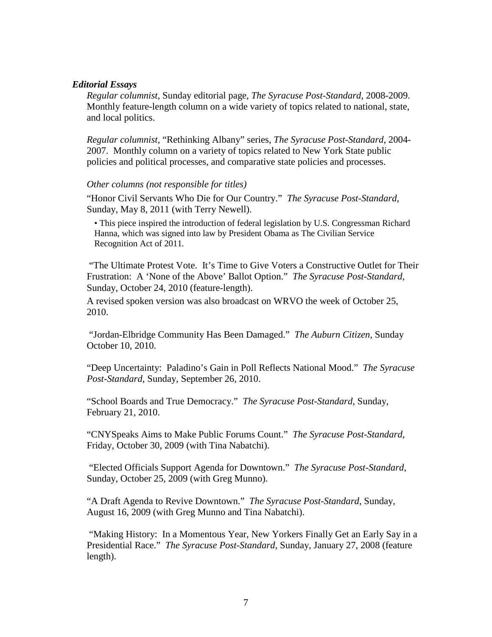## *Editorial Essays*

*Regular columnist,* Sunday editorial page, *The Syracuse Post-Standard*, 2008-2009. Monthly feature-length column on a wide variety of topics related to national, state, and local politics.

*Regular columnist,* "Rethinking Albany" series, *The Syracuse Post-Standard*, 2004- 2007. Monthly column on a variety of topics related to New York State public policies and political processes, and comparative state policies and processes.

# *Other columns (not responsible for titles)*

"Honor Civil Servants Who Die for Our Country." *The Syracuse Post-Standard*, Sunday, May 8, 2011 (with Terry Newell).

• This piece inspired the introduction of federal legislation by U.S. Congressman Richard Hanna, which was signed into law by President Obama as The Civilian Service Recognition Act of 2011*.*

"The Ultimate Protest Vote. It's Time to Give Voters a Constructive Outlet for Their Frustration: A 'None of the Above' Ballot Option." *The Syracuse Post-Standard*, Sunday, October 24, 2010 (feature-length).

A revised spoken version was also broadcast on WRVO the week of October 25, 2010.

"Jordan-Elbridge Community Has Been Damaged." *The Auburn Citizen*, Sunday October 10, 2010.

"Deep Uncertainty: Paladino's Gain in Poll Reflects National Mood." *The Syracuse Post-Standard*, Sunday, September 26, 2010.

"School Boards and True Democracy." *The Syracuse Post-Standard*, Sunday, February 21, 2010.

"CNYSpeaks Aims to Make Public Forums Count." *The Syracuse Post-Standard*, Friday, October 30, 2009 (with Tina Nabatchi).

"Elected Officials Support Agenda for Downtown." *The Syracuse Post-Standard*, Sunday, October 25, 2009 (with Greg Munno).

"A Draft Agenda to Revive Downtown." *The Syracuse Post-Standard*, Sunday, August 16, 2009 (with Greg Munno and Tina Nabatchi).

"Making History: In a Momentous Year, New Yorkers Finally Get an Early Say in a Presidential Race." *The Syracuse Post-Standard*, Sunday, January 27, 2008 (feature length).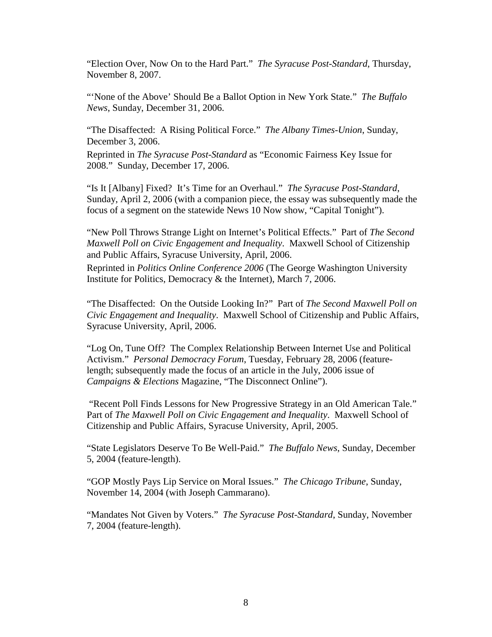"Election Over, Now On to the Hard Part." *The Syracuse Post-Standard*, Thursday, November 8, 2007.

"'None of the Above' Should Be a Ballot Option in New York State." *The Buffalo News*, Sunday, December 31, 2006.

"The Disaffected: A Rising Political Force." *The Albany Times-Union*, Sunday, December 3, 2006.

Reprinted in *The Syracuse Post-Standard* as "Economic Fairness Key Issue for 2008." Sunday, December 17, 2006.

"Is It [Albany] Fixed? It's Time for an Overhaul." *The Syracuse Post-Standard*, Sunday, April 2, 2006 (with a companion piece, the essay was subsequently made the focus of a segment on the statewide News 10 Now show, "Capital Tonight").

"New Poll Throws Strange Light on Internet's Political Effects." Part of *The Second Maxwell Poll on Civic Engagement and Inequality*. Maxwell School of Citizenship and Public Affairs, Syracuse University, April, 2006.

Reprinted in *Politics Online Conference 2006* (The George Washington University Institute for Politics, Democracy & the Internet), March 7, 2006.

"The Disaffected: On the Outside Looking In?" Part of *The Second Maxwell Poll on Civic Engagement and Inequality*. Maxwell School of Citizenship and Public Affairs, Syracuse University, April, 2006.

"Log On, Tune Off? The Complex Relationship Between Internet Use and Political Activism." *Personal Democracy Forum*, Tuesday, February 28, 2006 (featurelength; subsequently made the focus of an article in the July, 2006 issue of *Campaigns & Elections* Magazine, "The Disconnect Online").

"Recent Poll Finds Lessons for New Progressive Strategy in an Old American Tale." Part of *The Maxwell Poll on Civic Engagement and Inequality*. Maxwell School of Citizenship and Public Affairs, Syracuse University, April, 2005.

"State Legislators Deserve To Be Well-Paid." *The Buffalo News*, Sunday, December 5, 2004 (feature-length).

"GOP Mostly Pays Lip Service on Moral Issues." *The Chicago Tribune*, Sunday, November 14, 2004 (with Joseph Cammarano).

"Mandates Not Given by Voters." *The Syracuse Post-Standard*, Sunday, November 7, 2004 (feature-length).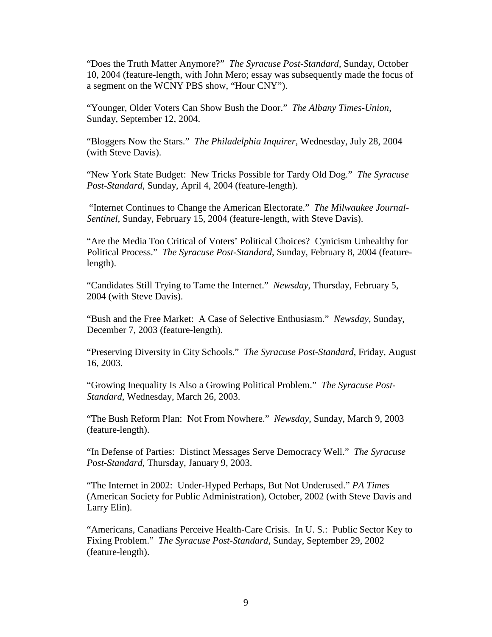"Does the Truth Matter Anymore?" *The Syracuse Post-Standard*, Sunday, October 10, 2004 (feature-length, with John Mero; essay was subsequently made the focus of a segment on the WCNY PBS show, "Hour CNY").

"Younger, Older Voters Can Show Bush the Door." *The Albany Times-Union*, Sunday, September 12, 2004.

"Bloggers Now the Stars." *The Philadelphia Inquirer*, Wednesday, July 28, 2004 (with Steve Davis).

"New York State Budget: New Tricks Possible for Tardy Old Dog." *The Syracuse Post-Standard*, Sunday, April 4, 2004 (feature-length).

"Internet Continues to Change the American Electorate." *The Milwaukee Journal-Sentinel*, Sunday, February 15, 2004 (feature-length, with Steve Davis).

"Are the Media Too Critical of Voters' Political Choices? Cynicism Unhealthy for Political Process." *The Syracuse Post-Standard*, Sunday, February 8, 2004 (featurelength).

"Candidates Still Trying to Tame the Internet." *Newsday*, Thursday, February 5, 2004 (with Steve Davis).

"Bush and the Free Market: A Case of Selective Enthusiasm." *Newsday*, Sunday, December 7, 2003 (feature-length).

"Preserving Diversity in City Schools." *The Syracuse Post-Standard*, Friday, August 16, 2003.

"Growing Inequality Is Also a Growing Political Problem." *The Syracuse Post-Standard*, Wednesday, March 26, 2003.

"The Bush Reform Plan: Not From Nowhere." *Newsday*, Sunday, March 9, 2003 (feature-length).

"In Defense of Parties: Distinct Messages Serve Democracy Well." *The Syracuse Post-Standard*, Thursday, January 9, 2003.

"The Internet in 2002: Under-Hyped Perhaps, But Not Underused." *PA Times* (American Society for Public Administration), October, 2002 (with Steve Davis and Larry Elin).

"Americans, Canadians Perceive Health-Care Crisis. In U. S.: Public Sector Key to Fixing Problem." *The Syracuse Post-Standard*, Sunday, September 29, 2002 (feature-length).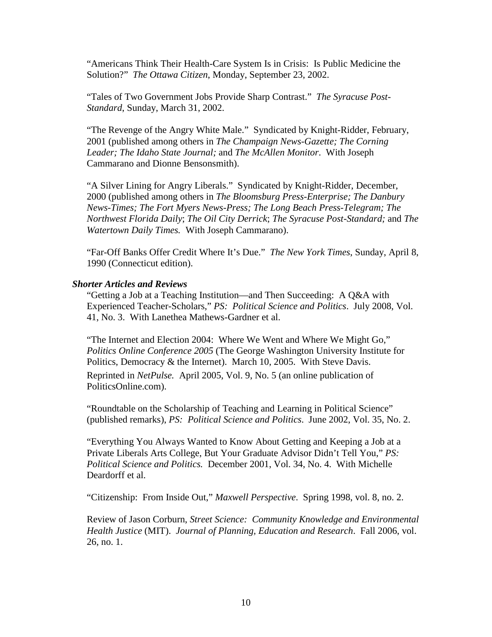"Americans Think Their Health-Care System Is in Crisis: Is Public Medicine the Solution?" *The Ottawa Citizen*, Monday, September 23, 2002.

"Tales of Two Government Jobs Provide Sharp Contrast." *The Syracuse Post-Standard*, Sunday, March 31, 2002.

"The Revenge of the Angry White Male." Syndicated by Knight-Ridder, February, 2001 (published among others in *The Champaign News-Gazette; The Corning Leader; The Idaho State Journal;* and *The McAllen Monitor*. With Joseph Cammarano and Dionne Bensonsmith).

"A Silver Lining for Angry Liberals." Syndicated by Knight-Ridder, December, 2000 (published among others in *The Bloomsburg Press-Enterprise; The Danbury News-Times; The Fort Myers News-Press; The Long Beach Press-Telegram; The Northwest Florida Daily*; *The Oil City Derrick*; *The Syracuse Post-Standard;* and *The Watertown Daily Times.* With Joseph Cammarano).

"Far-Off Banks Offer Credit Where It's Due." *The New York Times*, Sunday, April 8, 1990 (Connecticut edition).

## *Shorter Articles and Reviews*

"Getting a Job at a Teaching Institution—and Then Succeeding: A Q&A with Experienced Teacher-Scholars," *PS: Political Science and Politics*. July 2008, Vol. 41, No. 3. With Lanethea Mathews-Gardner et al.

"The Internet and Election 2004: Where We Went and Where We Might Go," *Politics Online Conference 2005* (The George Washington University Institute for Politics, Democracy & the Internet). March 10, 2005. With Steve Davis. Reprinted in *NetPulse.* April 2005, Vol. 9, No. 5 (an online publication of PoliticsOnline.com).

"Roundtable on the Scholarship of Teaching and Learning in Political Science" (published remarks), *PS: Political Science and Politics*. June 2002, Vol. 35, No. 2.

"Everything You Always Wanted to Know About Getting and Keeping a Job at a Private Liberals Arts College, But Your Graduate Advisor Didn't Tell You," *PS: Political Science and Politics.* December 2001, Vol. 34, No. 4. With Michelle Deardorff et al.

"Citizenship: From Inside Out," *Maxwell Perspective*. Spring 1998, vol. 8, no. 2.

Review of Jason Corburn, *Street Science: Community Knowledge and Environmental Health Justice* (MIT). *Journal of Planning, Education and Research*. Fall 2006, vol. 26, no. 1.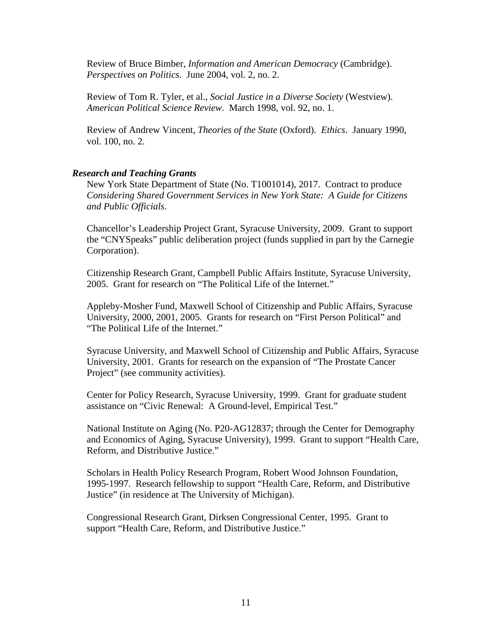Review of Bruce Bimber, *Information and American Democracy* (Cambridge). *Perspectives on Politics*. June 2004, vol. 2, no. 2.

Review of Tom R. Tyler, et al., *Social Justice in a Diverse Society* (Westview). *American Political Science Review*. March 1998, vol. 92, no. 1.

Review of Andrew Vincent, *Theories of the State* (Oxford). *Ethics*. January 1990, vol. 100, no. 2.

## *Research and Teaching Grants*

New York State Department of State (No. T1001014), 2017. Contract to produce *Considering Shared Government Services in New York State: A Guide for Citizens and Public Officials*.

Chancellor's Leadership Project Grant, Syracuse University, 2009. Grant to support the "CNYSpeaks" public deliberation project (funds supplied in part by the Carnegie Corporation).

Citizenship Research Grant, Campbell Public Affairs Institute, Syracuse University, 2005. Grant for research on "The Political Life of the Internet."

Appleby-Mosher Fund, Maxwell School of Citizenship and Public Affairs, Syracuse University, 2000, 2001, 2005. Grants for research on "First Person Political" and "The Political Life of the Internet."

Syracuse University, and Maxwell School of Citizenship and Public Affairs, Syracuse University, 2001. Grants for research on the expansion of "The Prostate Cancer Project" (see community activities).

Center for Policy Research, Syracuse University, 1999. Grant for graduate student assistance on "Civic Renewal: A Ground-level, Empirical Test."

National Institute on Aging (No. P20-AG12837; through the Center for Demography and Economics of Aging, Syracuse University), 1999. Grant to support "Health Care, Reform, and Distributive Justice."

Scholars in Health Policy Research Program, Robert Wood Johnson Foundation, 1995-1997. Research fellowship to support "Health Care, Reform, and Distributive Justice" (in residence at The University of Michigan).

Congressional Research Grant, Dirksen Congressional Center, 1995. Grant to support "Health Care, Reform, and Distributive Justice."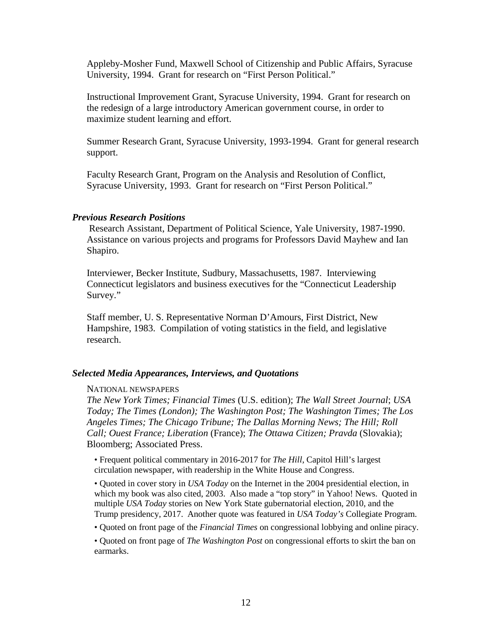Appleby-Mosher Fund, Maxwell School of Citizenship and Public Affairs, Syracuse University, 1994. Grant for research on "First Person Political."

Instructional Improvement Grant, Syracuse University, 1994. Grant for research on the redesign of a large introductory American government course, in order to maximize student learning and effort.

Summer Research Grant, Syracuse University, 1993-1994. Grant for general research support.

Faculty Research Grant, Program on the Analysis and Resolution of Conflict, Syracuse University, 1993. Grant for research on "First Person Political."

## *Previous Research Positions*

Research Assistant, Department of Political Science, Yale University, 1987-1990. Assistance on various projects and programs for Professors David Mayhew and Ian Shapiro.

Interviewer, Becker Institute, Sudbury, Massachusetts, 1987. Interviewing Connecticut legislators and business executives for the "Connecticut Leadership Survey."

Staff member, U. S. Representative Norman D'Amours, First District, New Hampshire, 1983. Compilation of voting statistics in the field, and legislative research.

## *Selected Media Appearances, Interviews, and Quotations*

## NATIONAL NEWSPAPERS

*The New York Times; Financial Times* (U.S. edition); *The Wall Street Journal*; *USA Today; The Times (London); The Washington Post; The Washington Times; The Los Angeles Times; The Chicago Tribune; The Dallas Morning News; The Hill; Roll Call; Ouest France; Liberation* (France); *The Ottawa Citizen; Pravda* (Slovakia); Bloomberg; Associated Press.

• Frequent political commentary in 2016-2017 for *The Hill*, Capitol Hill's largest circulation newspaper, with readership in the White House and Congress.

• Quoted in cover story in *USA Today* on the Internet in the 2004 presidential election, in which my book was also cited, 2003. Also made a "top story" in Yahoo! News. Quoted in multiple *USA Today* stories on New York State gubernatorial election, 2010, and the Trump presidency, 2017. Another quote was featured in *USA Today's* Collegiate Program.

• Quoted on front page of the *Financial Times* on congressional lobbying and online piracy.

• Quoted on front page of *The Washington Post* on congressional efforts to skirt the ban on earmarks.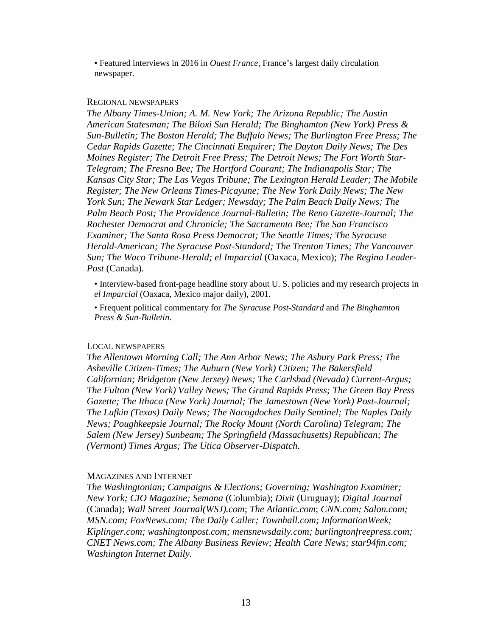• Featured interviews in 2016 in *Ouest France*, France's largest daily circulation newspaper.

#### REGIONAL NEWSPAPERS

*The Albany Times-Union; A. M. New York; The Arizona Republic; The Austin American Statesman; The Biloxi Sun Herald; The Binghamton (New York) Press & Sun-Bulletin; The Boston Herald; The Buffalo News; The Burlington Free Press; The Cedar Rapids Gazette; The Cincinnati Enquirer; The Dayton Daily News; The Des Moines Register; The Detroit Free Press; The Detroit News; The Fort Worth Star-Telegram; The Fresno Bee; The Hartford Courant; The Indianapolis Star; The Kansas City Star; The Las Vegas Tribune; The Lexington Herald Leader; The Mobile Register; The New Orleans Times-Picayune; The New York Daily News; The New York Sun; The Newark Star Ledger; Newsday; The Palm Beach Daily News; The Palm Beach Post; The Providence Journal-Bulletin; The Reno Gazette-Journal; The Rochester Democrat and Chronicle; The Sacramento Bee; The San Francisco Examiner; The Santa Rosa Press Democrat; The Seattle Times; The Syracuse Herald-American; The Syracuse Post-Standard; The Trenton Times; The Vancouver Sun; The Waco Tribune-Herald; el Imparcial* (Oaxaca, Mexico); *The Regina Leader-Post* (Canada).

• Interview-based front-page headline story about U. S. policies and my research projects in *el Imparcial* (Oaxaca, Mexico major daily), 2001.

• Frequent political commentary for *The Syracuse Post-Standard* and *The Binghamton Press & Sun-Bulletin*.

#### LOCAL NEWSPAPERS

*The Allentown Morning Call; The Ann Arbor News; The Asbury Park Press; The Asheville Citizen-Times; The Auburn (New York) Citizen; The Bakersfield Californian; Bridgeton (New Jersey) News; The Carlsbad (Nevada) Current-Argus; The Fulton (New York) Valley News; The Grand Rapids Press; The Green Bay Press Gazette; The Ithaca (New York) Journal; The Jamestown (New York) Post-Journal; The Lufkin (Texas) Daily News; The Nacogdoches Daily Sentinel; The Naples Daily News; Poughkeepsie Journal; The Rocky Mount (North Carolina) Telegram; The Salem (New Jersey) Sunbeam; The Springfield (Massachusetts) Republican; The (Vermont) Times Argus; The Utica Observer-Dispatch*.

#### MAGAZINES AND INTERNET

*The Washingtonian; Campaigns & Elections; Governing; Washington Examiner; New York; CIO Magazine; Semana* (Columbia); *Dixit* (Uruguay); *Digital Journal* (Canada); *Wall Street Journal(WSJ).com*; *The Atlantic.com*; *CNN.com; Salon.com; MSN.com; FoxNews.com; The Daily Caller; Townhall.com; InformationWeek; Kiplinger.com; washingtonpost.com; mensnewsdaily.com; burlingtonfreepress.com; CNET News.com; The Albany Business Review; Health Care News; star94fm.com; Washington Internet Daily*.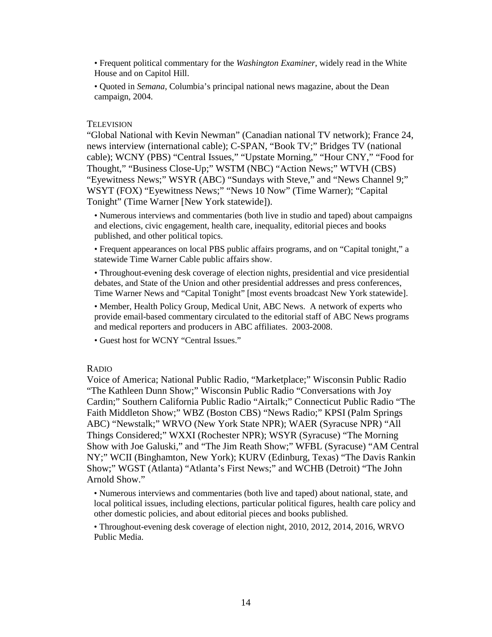• Frequent political commentary for the *Washington Examiner*, widely read in the White House and on Capitol Hill.

• Quoted in *Semana*, Columbia's principal national news magazine, about the Dean campaign, 2004.

## **TELEVISION**

"Global National with Kevin Newman" (Canadian national TV network); France 24, news interview (international cable); C-SPAN, "Book TV;" Bridges TV (national cable); WCNY (PBS) "Central Issues," "Upstate Morning," "Hour CNY," "Food for Thought," "Business Close-Up;" WSTM (NBC) "Action News;" WTVH (CBS) "Eyewitness News;" WSYR (ABC) "Sundays with Steve," and "News Channel 9;" WSYT (FOX) "Eyewitness News;" "News 10 Now" (Time Warner); "Capital Tonight" (Time Warner [New York statewide]).

• Numerous interviews and commentaries (both live in studio and taped) about campaigns and elections, civic engagement, health care, inequality, editorial pieces and books published, and other political topics.

• Frequent appearances on local PBS public affairs programs, and on "Capital tonight," a statewide Time Warner Cable public affairs show.

• Throughout-evening desk coverage of election nights, presidential and vice presidential debates, and State of the Union and other presidential addresses and press conferences, Time Warner News and "Capital Tonight" [most events broadcast New York statewide].

• Member, Health Policy Group, Medical Unit, ABC News. A network of experts who provide email-based commentary circulated to the editorial staff of ABC News programs and medical reporters and producers in ABC affiliates. 2003-2008.

• Guest host for WCNY "Central Issues."

## RADIO

Voice of America; National Public Radio, "Marketplace;" Wisconsin Public Radio "The Kathleen Dunn Show;" Wisconsin Public Radio "Conversations with Joy Cardin;" Southern California Public Radio "Airtalk;" Connecticut Public Radio "The Faith Middleton Show;" WBZ (Boston CBS) "News Radio;" KPSI (Palm Springs ABC) "Newstalk;" WRVO (New York State NPR); WAER (Syracuse NPR) "All Things Considered;" WXXI (Rochester NPR); WSYR (Syracuse) "The Morning Show with Joe Galuski," and "The Jim Reath Show;" WFBL (Syracuse) "AM Central NY;" WCII (Binghamton, New York); KURV (Edinburg, Texas) "The Davis Rankin Show;" WGST (Atlanta) "Atlanta's First News;" and WCHB (Detroit) "The John Arnold Show."

• Numerous interviews and commentaries (both live and taped) about national, state, and local political issues, including elections, particular political figures, health care policy and other domestic policies, and about editorial pieces and books published.

• Throughout-evening desk coverage of election night, 2010, 2012, 2014, 2016, WRVO Public Media.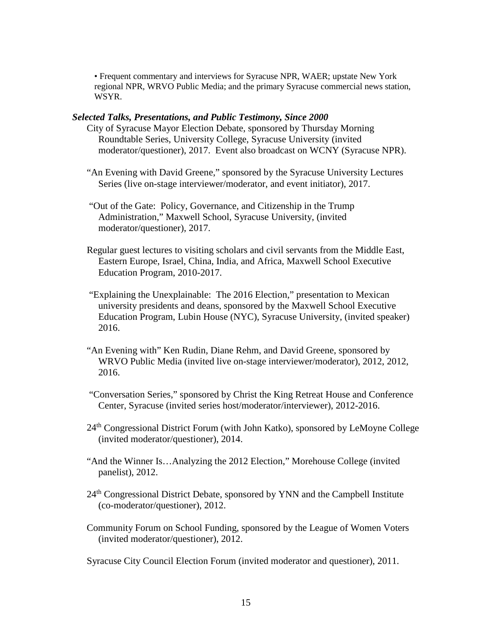• Frequent commentary and interviews for Syracuse NPR, WAER; upstate New York regional NPR, WRVO Public Media; and the primary Syracuse commercial news station, WSYR.

## *Selected Talks, Presentations, and Public Testimony, Since 2000*

- City of Syracuse Mayor Election Debate, sponsored by Thursday Morning Roundtable Series, University College, Syracuse University (invited moderator/questioner), 2017. Event also broadcast on WCNY (Syracuse NPR).
- "An Evening with David Greene," sponsored by the Syracuse University Lectures Series (live on-stage interviewer/moderator, and event initiator), 2017.
- "Out of the Gate: Policy, Governance, and Citizenship in the Trump Administration," Maxwell School, Syracuse University, (invited moderator/questioner), 2017.
- Regular guest lectures to visiting scholars and civil servants from the Middle East, Eastern Europe, Israel, China, India, and Africa, Maxwell School Executive Education Program, 2010-2017.
- "Explaining the Unexplainable: The 2016 Election," presentation to Mexican university presidents and deans, sponsored by the Maxwell School Executive Education Program, Lubin House (NYC), Syracuse University, (invited speaker) 2016.
- "An Evening with" Ken Rudin, Diane Rehm, and David Greene, sponsored by WRVO Public Media (invited live on-stage interviewer/moderator), 2012, 2012, 2016.
- "Conversation Series," sponsored by Christ the King Retreat House and Conference Center, Syracuse (invited series host/moderator/interviewer), 2012-2016.
- 24<sup>th</sup> Congressional District Forum (with John Katko), sponsored by LeMoyne College (invited moderator/questioner), 2014.
- "And the Winner Is…Analyzing the 2012 Election," Morehouse College (invited panelist), 2012.
- 24<sup>th</sup> Congressional District Debate, sponsored by YNN and the Campbell Institute (co-moderator/questioner), 2012.
- Community Forum on School Funding, sponsored by the League of Women Voters (invited moderator/questioner), 2012.

Syracuse City Council Election Forum (invited moderator and questioner), 2011.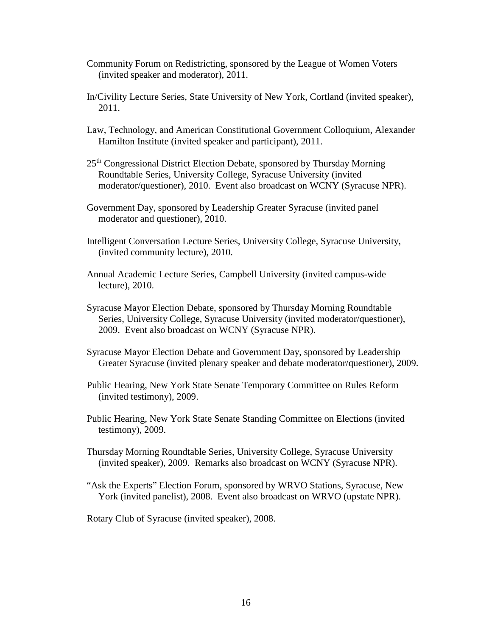- Community Forum on Redistricting, sponsored by the League of Women Voters (invited speaker and moderator), 2011.
- In/Civility Lecture Series, State University of New York, Cortland (invited speaker), 2011.
- Law, Technology, and American Constitutional Government Colloquium, Alexander Hamilton Institute (invited speaker and participant), 2011.
- 25<sup>th</sup> Congressional District Election Debate, sponsored by Thursday Morning Roundtable Series, University College, Syracuse University (invited moderator/questioner), 2010. Event also broadcast on WCNY (Syracuse NPR).
- Government Day, sponsored by Leadership Greater Syracuse (invited panel moderator and questioner), 2010.
- Intelligent Conversation Lecture Series, University College, Syracuse University, (invited community lecture), 2010.
- Annual Academic Lecture Series, Campbell University (invited campus-wide lecture), 2010.
- Syracuse Mayor Election Debate, sponsored by Thursday Morning Roundtable Series, University College, Syracuse University (invited moderator/questioner), 2009. Event also broadcast on WCNY (Syracuse NPR).
- Syracuse Mayor Election Debate and Government Day, sponsored by Leadership Greater Syracuse (invited plenary speaker and debate moderator/questioner), 2009.
- Public Hearing, New York State Senate Temporary Committee on Rules Reform (invited testimony), 2009.
- Public Hearing, New York State Senate Standing Committee on Elections (invited testimony), 2009.
- Thursday Morning Roundtable Series, University College, Syracuse University (invited speaker), 2009. Remarks also broadcast on WCNY (Syracuse NPR).
- "Ask the Experts" Election Forum, sponsored by WRVO Stations, Syracuse, New York (invited panelist), 2008. Event also broadcast on WRVO (upstate NPR).

Rotary Club of Syracuse (invited speaker), 2008.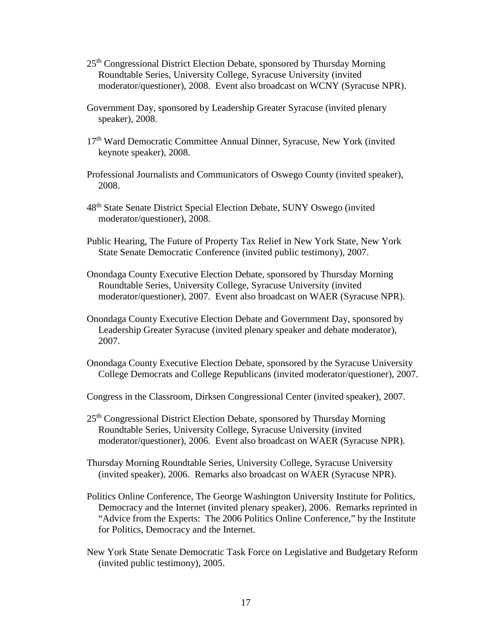- 25th Congressional District Election Debate, sponsored by Thursday Morning Roundtable Series, University College, Syracuse University (invited moderator/questioner), 2008. Event also broadcast on WCNY (Syracuse NPR).
- Government Day, sponsored by Leadership Greater Syracuse (invited plenary speaker), 2008.
- 17<sup>th</sup> Ward Democratic Committee Annual Dinner, Syracuse, New York (invited keynote speaker), 2008.
- Professional Journalists and Communicators of Oswego County (invited speaker), 2008.
- 48<sup>th</sup> State Senate District Special Election Debate, SUNY Oswego (invited moderator/questioner), 2008.
- Public Hearing, The Future of Property Tax Relief in New York State, New York State Senate Democratic Conference (invited public testimony), 2007.
- Onondaga County Executive Election Debate, sponsored by Thursday Morning Roundtable Series, University College, Syracuse University (invited moderator/questioner), 2007. Event also broadcast on WAER (Syracuse NPR).
- Onondaga County Executive Election Debate and Government Day, sponsored by Leadership Greater Syracuse (invited plenary speaker and debate moderator), 2007.
- Onondaga County Executive Election Debate, sponsored by the Syracuse University College Democrats and College Republicans (invited moderator/questioner), 2007.
- Congress in the Classroom, Dirksen Congressional Center (invited speaker), 2007.
- 25<sup>th</sup> Congressional District Election Debate, sponsored by Thursday Morning Roundtable Series, University College, Syracuse University (invited moderator/questioner), 2006. Event also broadcast on WAER (Syracuse NPR).
- Thursday Morning Roundtable Series, University College, Syracuse University (invited speaker), 2006. Remarks also broadcast on WAER (Syracuse NPR).
- Politics Online Conference, The George Washington University Institute for Politics, Democracy and the Internet (invited plenary speaker), 2006. Remarks reprinted in "Advice from the Experts: The 2006 Politics Online Conference," by the Institute for Politics, Democracy and the Internet.
- New York State Senate Democratic Task Force on Legislative and Budgetary Reform (invited public testimony), 2005.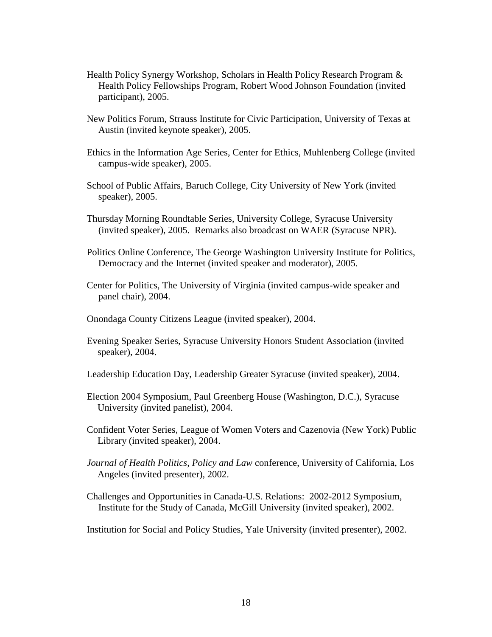- Health Policy Synergy Workshop, Scholars in Health Policy Research Program & Health Policy Fellowships Program, Robert Wood Johnson Foundation (invited participant), 2005.
- New Politics Forum, Strauss Institute for Civic Participation, University of Texas at Austin (invited keynote speaker), 2005.
- Ethics in the Information Age Series, Center for Ethics, Muhlenberg College (invited campus-wide speaker), 2005.
- School of Public Affairs, Baruch College, City University of New York (invited speaker), 2005.
- Thursday Morning Roundtable Series, University College, Syracuse University (invited speaker), 2005. Remarks also broadcast on WAER (Syracuse NPR).
- Politics Online Conference, The George Washington University Institute for Politics, Democracy and the Internet (invited speaker and moderator), 2005.
- Center for Politics, The University of Virginia (invited campus-wide speaker and panel chair), 2004.
- Onondaga County Citizens League (invited speaker), 2004.
- Evening Speaker Series, Syracuse University Honors Student Association (invited speaker), 2004.
- Leadership Education Day, Leadership Greater Syracuse (invited speaker), 2004.
- Election 2004 Symposium, Paul Greenberg House (Washington, D.C.), Syracuse University (invited panelist), 2004.
- Confident Voter Series, League of Women Voters and Cazenovia (New York) Public Library (invited speaker), 2004.
- *Journal of Health Politics, Policy and Law* conference, University of California, Los Angeles (invited presenter), 2002.
- Challenges and Opportunities in Canada-U.S. Relations: 2002-2012 Symposium, Institute for the Study of Canada, McGill University (invited speaker), 2002.

Institution for Social and Policy Studies, Yale University (invited presenter), 2002.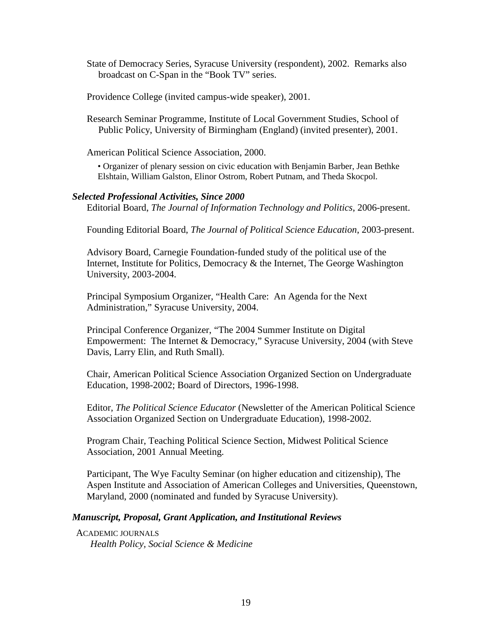State of Democracy Series, Syracuse University (respondent), 2002. Remarks also broadcast on C-Span in the "Book TV" series.

Providence College (invited campus-wide speaker), 2001.

Research Seminar Programme, Institute of Local Government Studies, School of Public Policy, University of Birmingham (England) (invited presenter), 2001.

American Political Science Association, 2000.

• Organizer of plenary session on civic education with Benjamin Barber, Jean Bethke Elshtain, William Galston, Elinor Ostrom, Robert Putnam, and Theda Skocpol.

## *Selected Professional Activities, Since 2000*

Editorial Board, *The Journal of Information Technology and Politics*, 2006-present.

Founding Editorial Board, *The Journal of Political Science Education*, 2003-present.

Advisory Board, Carnegie Foundation-funded study of the political use of the Internet, Institute for Politics, Democracy & the Internet, The George Washington University, 2003-2004.

Principal Symposium Organizer, "Health Care: An Agenda for the Next Administration," Syracuse University, 2004.

Principal Conference Organizer, "The 2004 Summer Institute on Digital Empowerment: The Internet & Democracy," Syracuse University, 2004 (with Steve Davis, Larry Elin, and Ruth Small).

Chair, American Political Science Association Organized Section on Undergraduate Education, 1998-2002; Board of Directors, 1996-1998.

Editor, *The Political Science Educator* (Newsletter of the American Political Science Association Organized Section on Undergraduate Education), 1998-2002.

Program Chair, Teaching Political Science Section, Midwest Political Science Association, 2001 Annual Meeting.

Participant, The Wye Faculty Seminar (on higher education and citizenship), The Aspen Institute and Association of American Colleges and Universities, Queenstown, Maryland, 2000 (nominated and funded by Syracuse University).

## *Manuscript, Proposal, Grant Application, and Institutional Reviews*

 ACADEMIC JOURNALS *Health Policy, Social Science & Medicine*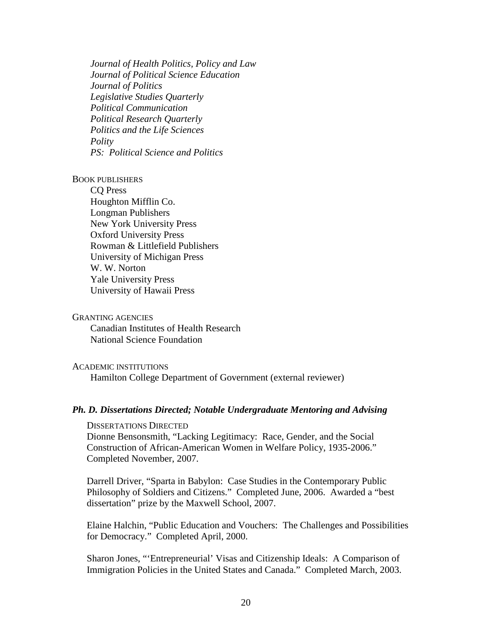*Journal of Health Politics, Policy and Law Journal of Political Science Education Journal of Politics Legislative Studies Quarterly Political Communication Political Research Quarterly Politics and the Life Sciences Polity PS: Political Science and Politics*

#### BOOK PUBLISHERS

CQ Press Houghton Mifflin Co. Longman Publishers New York University Press Oxford University Press Rowman & Littlefield Publishers University of Michigan Press W. W. Norton Yale University Press University of Hawaii Press

### GRANTING AGENCIES

Canadian Institutes of Health Research National Science Foundation

## ACADEMIC INSTITUTIONS

Hamilton College Department of Government (external reviewer)

## *Ph. D. Dissertations Directed; Notable Undergraduate Mentoring and Advising*

DISSERTATIONS DIRECTED Dionne Bensonsmith, "Lacking Legitimacy: Race, Gender, and the Social Construction of African-American Women in Welfare Policy, 1935-2006." Completed November, 2007.

Darrell Driver, "Sparta in Babylon: Case Studies in the Contemporary Public Philosophy of Soldiers and Citizens." Completed June, 2006. Awarded a "best dissertation" prize by the Maxwell School, 2007.

Elaine Halchin, "Public Education and Vouchers: The Challenges and Possibilities for Democracy." Completed April, 2000.

Sharon Jones, "'Entrepreneurial' Visas and Citizenship Ideals: A Comparison of Immigration Policies in the United States and Canada." Completed March, 2003.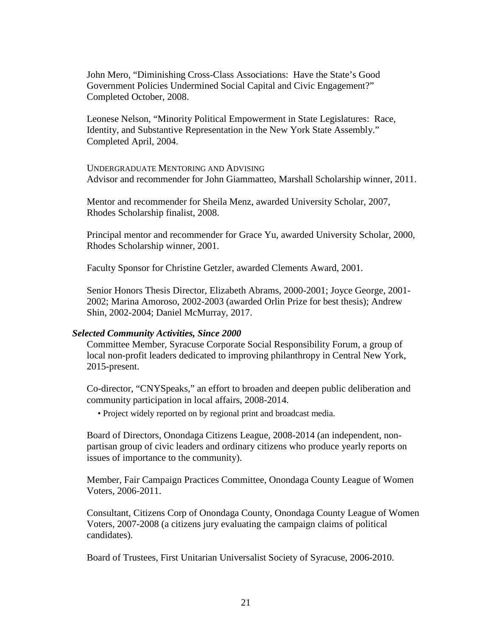John Mero, "Diminishing Cross-Class Associations: Have the State's Good Government Policies Undermined Social Capital and Civic Engagement?" Completed October, 2008.

Leonese Nelson, "Minority Political Empowerment in State Legislatures: Race, Identity, and Substantive Representation in the New York State Assembly." Completed April, 2004.

UNDERGRADUATE MENTORING AND ADVISING Advisor and recommender for John Giammatteo, Marshall Scholarship winner, 2011.

Mentor and recommender for Sheila Menz, awarded University Scholar, 2007, Rhodes Scholarship finalist, 2008.

Principal mentor and recommender for Grace Yu, awarded University Scholar, 2000, Rhodes Scholarship winner, 2001.

Faculty Sponsor for Christine Getzler, awarded Clements Award, 2001.

Senior Honors Thesis Director, Elizabeth Abrams, 2000-2001; Joyce George, 2001- 2002; Marina Amoroso, 2002-2003 (awarded Orlin Prize for best thesis); Andrew Shin, 2002-2004; Daniel McMurray, 2017.

#### *Selected Community Activities, Since 2000*

Committee Member, Syracuse Corporate Social Responsibility Forum, a group of local non-profit leaders dedicated to improving philanthropy in Central New York, 2015-present.

Co-director, "CNYSpeaks," an effort to broaden and deepen public deliberation and community participation in local affairs, 2008-2014.

• Project widely reported on by regional print and broadcast media.

Board of Directors, Onondaga Citizens League, 2008-2014 (an independent, nonpartisan group of civic leaders and ordinary citizens who produce yearly reports on issues of importance to the community).

Member, Fair Campaign Practices Committee, Onondaga County League of Women Voters, 2006-2011.

Consultant, Citizens Corp of Onondaga County, Onondaga County League of Women Voters, 2007-2008 (a citizens jury evaluating the campaign claims of political candidates).

Board of Trustees, First Unitarian Universalist Society of Syracuse, 2006-2010.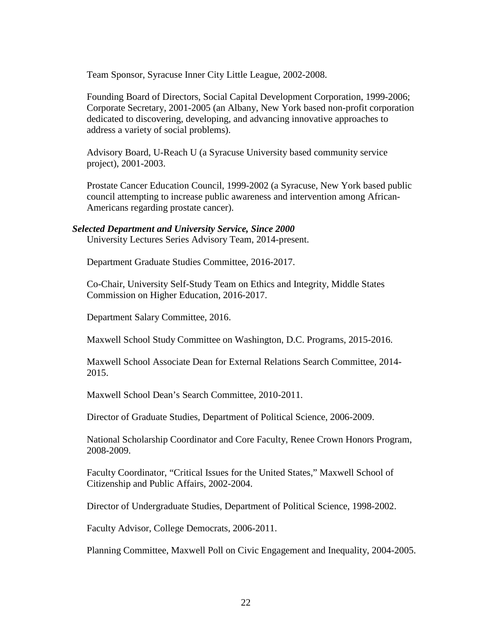Team Sponsor, Syracuse Inner City Little League, 2002-2008.

Founding Board of Directors, Social Capital Development Corporation, 1999-2006; Corporate Secretary, 2001-2005 (an Albany, New York based non-profit corporation dedicated to discovering, developing, and advancing innovative approaches to address a variety of social problems).

Advisory Board, U-Reach U (a Syracuse University based community service project), 2001-2003.

Prostate Cancer Education Council, 1999-2002 (a Syracuse, New York based public council attempting to increase public awareness and intervention among African-Americans regarding prostate cancer).

## *Selected Department and University Service, Since 2000*

University Lectures Series Advisory Team, 2014-present.

Department Graduate Studies Committee, 2016-2017.

Co-Chair, University Self-Study Team on Ethics and Integrity, Middle States Commission on Higher Education, 2016-2017.

Department Salary Committee, 2016.

Maxwell School Study Committee on Washington, D.C. Programs, 2015-2016.

Maxwell School Associate Dean for External Relations Search Committee, 2014- 2015.

Maxwell School Dean's Search Committee, 2010-2011.

Director of Graduate Studies, Department of Political Science, 2006-2009.

National Scholarship Coordinator and Core Faculty, Renee Crown Honors Program, 2008-2009.

Faculty Coordinator, "Critical Issues for the United States," Maxwell School of Citizenship and Public Affairs, 2002-2004.

Director of Undergraduate Studies, Department of Political Science, 1998-2002.

Faculty Advisor, College Democrats, 2006-2011.

Planning Committee, Maxwell Poll on Civic Engagement and Inequality, 2004-2005.